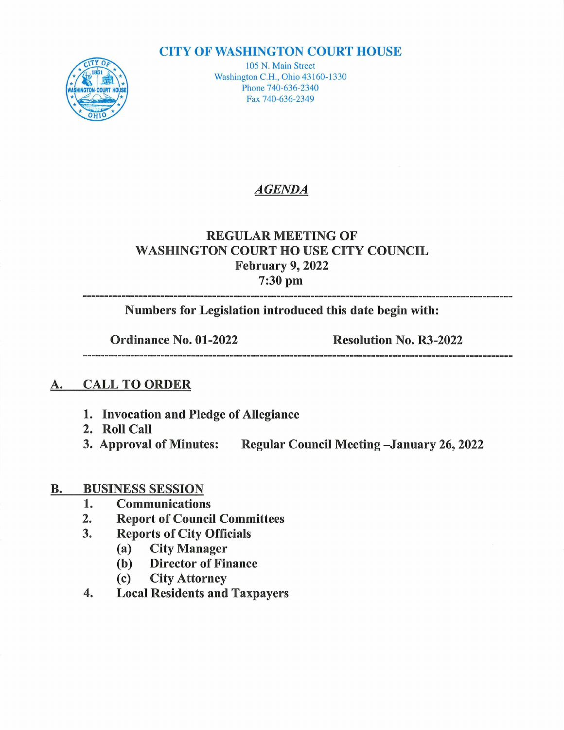#### **CITY OF WASHINGTON COURT HOUSE**



105 N. Main Street Washington C.H., Ohio 43160-1330 Phone 740-636-2340 Fax 740-636-2349

## AGENDA

## REGULAR MEETING OF WASHINGTON COURT HOUSE CITY COUNCIL February 9, 2022 ruary 9,<br>7:30 pm

Numbers for Legislation introduced this date begin with:

Ordinance No. 01-2022 Resolution No. R3-2022

----------------

#### A. CALL TO ORDER

- 1. Invocation and Pledge of Allegiance
- 
- 2. Roll Call<br>3. Approval of Minutes: Regular Council Meeting -January 26, 2022

# B. BUSINESS SESSION

- **BUSINESS SESSION<br>1. Communications**
- 1. Communications<br>2. Report of Council Committees<br>3. Reports of City Officials
- 2. Report of Council Comn<br>3. Reports of City Officials
	- Reports of City Offi<br>(a) City Manager
	- (a) City Manager<br>(b) Director of Finance
	- (c) City Attorney
- 4. Local Residents and Taxpayers